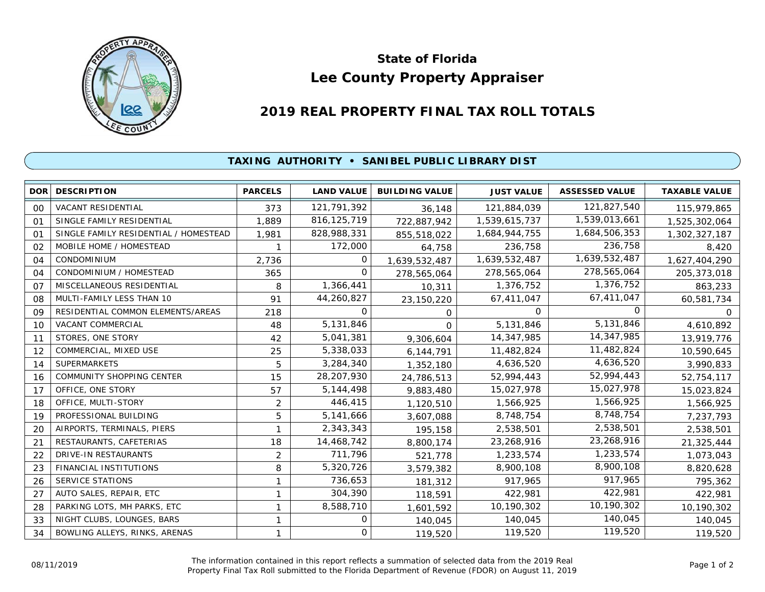

## **Lee County Property Appraiser State of Florida**

## **2019 REAL PROPERTY FINAL TAX ROLL TOTALS**

## **TAXING AUTHORITY • SANIBEL PUBLIC LIBRARY DIST**

| <b>DOR</b> | <b>DESCRIPTION</b>                    | <b>PARCELS</b> | <b>LAND VALUE</b> | <b>BUILDING VALUE</b> | <b>JUST VALUE</b> | <b>ASSESSED VALUE</b> | <b>TAXABLE VALUE</b> |
|------------|---------------------------------------|----------------|-------------------|-----------------------|-------------------|-----------------------|----------------------|
| 00         | <b>VACANT RESIDENTIAL</b>             | 373            | 121,791,392       | 36,148                | 121,884,039       | 121,827,540           | 115,979,865          |
| 01         | SINGLE FAMILY RESIDENTIAL             | 1,889          | 816, 125, 719     | 722,887,942           | 1,539,615,737     | 1,539,013,661         | 1,525,302,064        |
| 01         | SINGLE FAMILY RESIDENTIAL / HOMESTEAD | 1,981          | 828,988,331       | 855,518,022           | 1,684,944,755     | 1,684,506,353         | 1,302,327,187        |
| 02         | MOBILE HOME / HOMESTEAD               |                | 172,000           | 64,758                | 236,758           | 236,758               | 8,420                |
| 04         | <b>CONDOMINIUM</b>                    | 2,736          | 0                 | 1,639,532,487         | 1,639,532,487     | 1,639,532,487         | 1,627,404,290        |
| 04         | CONDOMINIUM / HOMESTEAD               | 365            | $\Omega$          | 278,565,064           | 278,565,064       | 278,565,064           | 205, 373, 018        |
| 07         | MISCELLANEOUS RESIDENTIAL             | 8              | 1,366,441         | 10,311                | 1,376,752         | 1,376,752             | 863,233              |
| 08         | MULTI-FAMILY LESS THAN 10             | 91             | 44,260,827        | 23,150,220            | 67,411,047        | 67,411,047            | 60,581,734           |
| 09         | RESIDENTIAL COMMON ELEMENTS/AREAS     | 218            | 0                 | 0                     | 0                 | <sup>o</sup>          | 0                    |
| 10         | <b>VACANT COMMERCIAL</b>              | 48             | 5,131,846         | $\Omega$              | 5,131,846         | 5,131,846             | 4,610,892            |
| 11         | STORES, ONE STORY                     | 42             | 5,041,381         | 9,306,604             | 14,347,985        | 14,347,985            | 13,919,776           |
| 12         | COMMERCIAL, MIXED USE                 | 25             | 5,338,033         | 6,144,791             | 11,482,824        | 11,482,824            | 10,590,645           |
| 14         | <b>SUPERMARKETS</b>                   | 5              | 3,284,340         | 1,352,180             | 4,636,520         | 4,636,520             | 3,990,833            |
| 16         | <b>COMMUNITY SHOPPING CENTER</b>      | 15             | 28,207,930        | 24,786,513            | 52,994,443        | 52,994,443            | 52,754,117           |
| 17         | OFFICE, ONE STORY                     | 57             | 5,144,498         | 9,883,480             | 15,027,978        | 15,027,978            | 15,023,824           |
| 18         | OFFICE, MULTI-STORY                   | $\overline{2}$ | 446,415           | 1,120,510             | 1,566,925         | 1,566,925             | 1,566,925            |
| 19         | PROFESSIONAL BUILDING                 | 5              | 5,141,666         | 3,607,088             | 8,748,754         | 8,748,754             | 7,237,793            |
| 20         | AIRPORTS, TERMINALS, PIERS            |                | 2,343,343         | 195,158               | 2,538,501         | 2,538,501             | 2,538,501            |
| 21         | RESTAURANTS, CAFETERIAS               | 18             | 14,468,742        | 8,800,174             | 23,268,916        | 23,268,916            | 21,325,444           |
| 22         | DRIVE-IN RESTAURANTS                  | 2              | 711,796           | 521,778               | 1,233,574         | 1,233,574             | 1,073,043            |
| 23         | FINANCIAL INSTITUTIONS                | 8              | 5,320,726         | 3,579,382             | 8,900,108         | 8,900,108             | 8,820,628            |
| 26         | SERVICE STATIONS                      |                | 736,653           | 181,312               | 917,965           | 917,965               | 795,362              |
| 27         | AUTO SALES, REPAIR, ETC               |                | 304,390           | 118,591               | 422,981           | 422,981               | 422,981              |
| 28         | PARKING LOTS, MH PARKS, ETC           | 1              | 8,588,710         | 1,601,592             | 10,190,302        | 10,190,302            | 10,190,302           |
| 33         | NIGHT CLUBS, LOUNGES, BARS            | 1              | 0                 | 140,045               | 140,045           | 140,045               | 140,045              |
| 34         | BOWLING ALLEYS, RINKS, ARENAS         |                | 0                 | 119,520               | 119,520           | 119,520               | 119,520              |